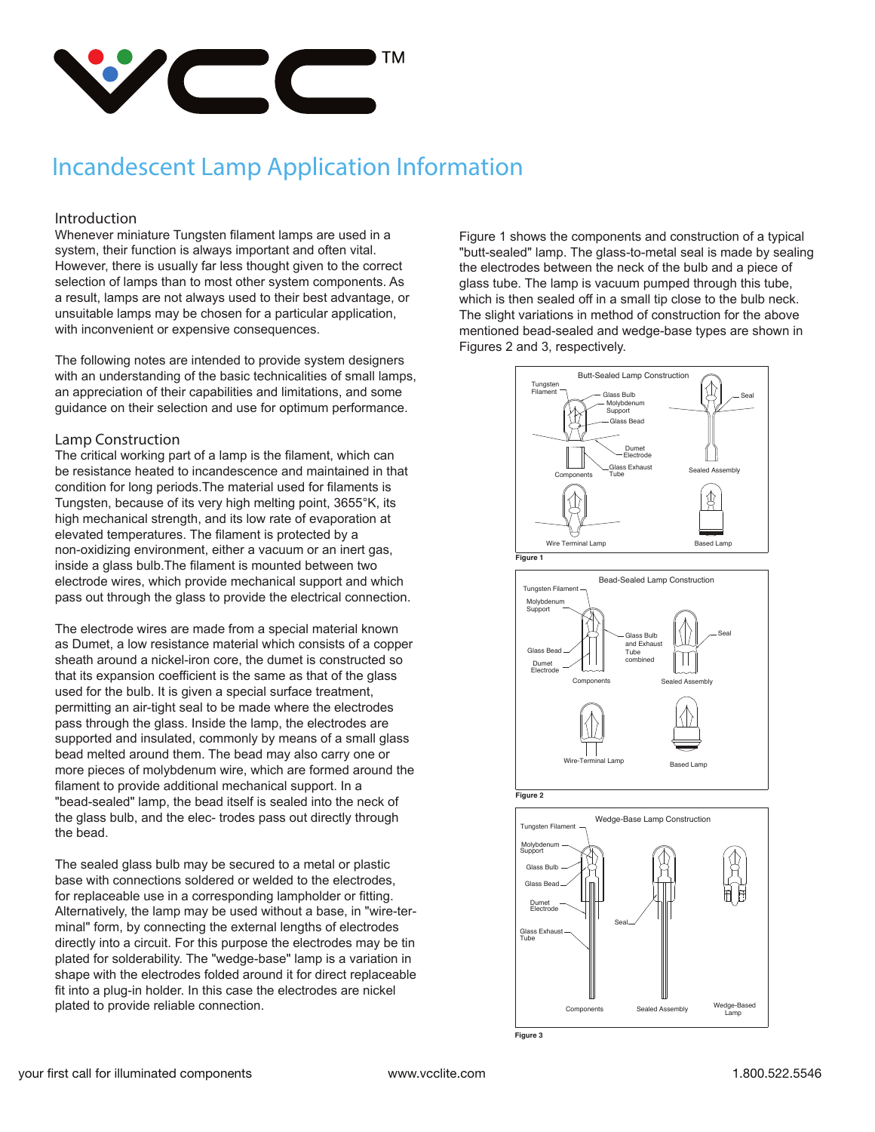

#### **Introduction**

Whenever miniature Tungsten filament lamps are used in a system, their function is always important and often vital. However, there is usually far less thought given to the correct selection of lamps than to most other system components. As a result, lamps are not always used to their best advantage, or unsuitable lamps may be chosen for a particular application, with inconvenient or expensive consequences.

The following notes are intended to provide system designers with an understanding of the basic technicalities of small lamps, an appreciation of their capabilities and limitations, and some guidance on their selection and use for optimum performance.

#### **Lamp Construction**

The critical working part of a lamp is the filament, which can be resistance heated to incandescence and maintained in that condition for long periods.The material used for filaments is Tungsten, because of its very high melting point, 3655°K, its high mechanical strength, and its low rate of evaporation at elevated temperatures. The filament is protected by a non-oxidizing environment, either a vacuum or an inert gas, inside a glass bulb.The filament is mounted between two electrode wires, which provide mechanical support and which pass out through the glass to provide the electrical connection.

The electrode wires are made from a special material known as Dumet, a low resistance material which consists of a copper sheath around a nickel-iron core, the dumet is constructed so that its expansion coefficient is the same as that of the glass used for the bulb. It is given a special surface treatment, permitting an air-tight seal to be made where the electrodes pass through the glass. Inside the lamp, the electrodes are supported and insulated, commonly by means of a small glass bead melted around them. The bead may also carry one or more pieces of molybdenum wire, which are formed around the filament to provide additional mechanical support. In a "bead-sealed" lamp, the bead itself is sealed into the neck of the glass bulb, and the elec- trodes pass out directly through the bead.

The sealed glass bulb may be secured to a metal or plastic base with connections soldered or welded to the electrodes, for replaceable use in a corresponding lampholder or fitting. Alternatively, the lamp may be used without a base, in "wire-terminal" form, by connecting the external lengths of electrodes directly into a circuit. For this purpose the electrodes may be tin plated for solderability. The "wedge-base" lamp is a variation in shape with the electrodes folded around it for direct replaceable fit into a plug-in holder. In this case the electrodes are nickel plated to provide reliable connection.

Figure 1 shows the components and construction of a typical "butt-sealed" lamp. The glass-to-metal seal is made by sealing the electrodes between the neck of the bulb and a piece of glass tube. The lamp is vacuum pumped through this tube, which is then sealed off in a small tip close to the bulb neck. The slight variations in method of construction for the above mentioned bead-sealed and wedge-base types are shown in Figures 2 and 3, respectively.

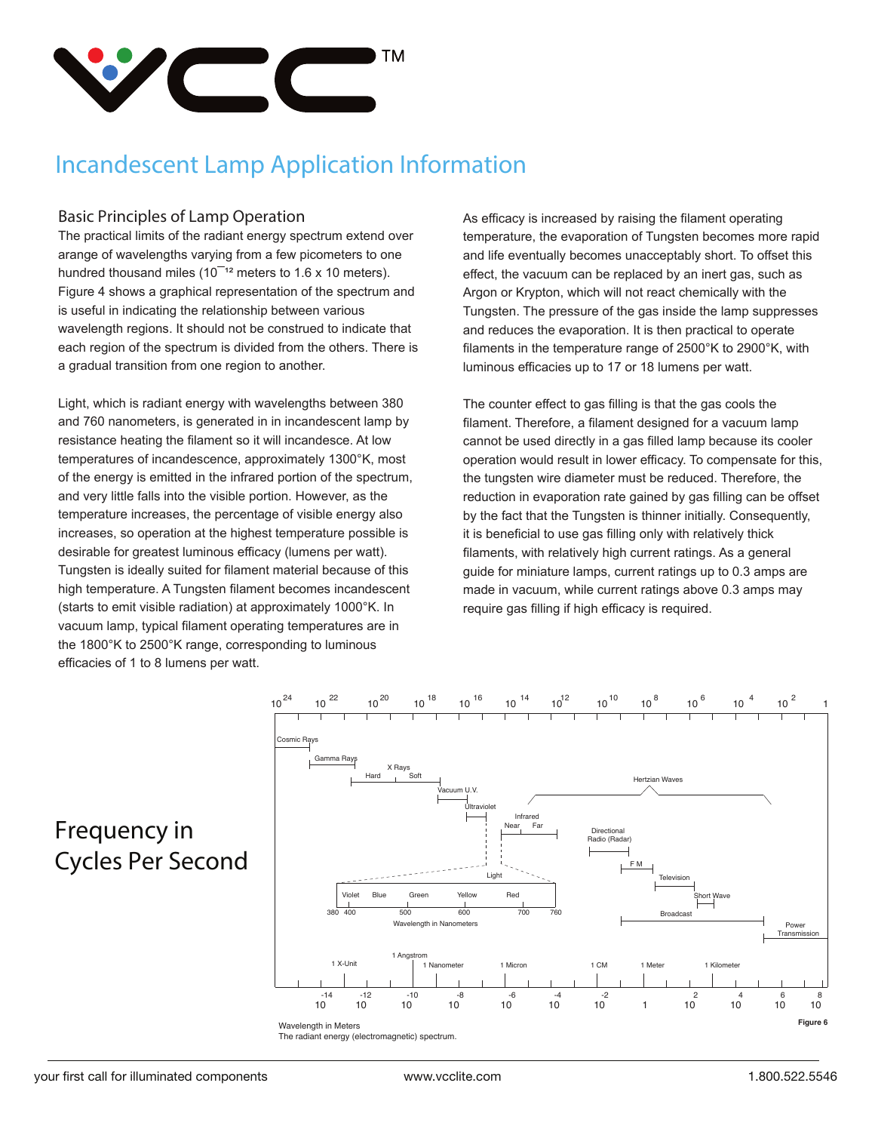

### **Basic Principles of Lamp Operation**

The practical limits of the radiant energy spectrum extend over arange of wavelengths varying from a few picometers to one hundred thousand miles ( $10^{-12}$  meters to 1.6 x 10 meters). Figure 4 shows a graphical representation of the spectrum and is useful in indicating the relationship between various wavelength regions. It should not be construed to indicate that each region of the spectrum is divided from the others. There is a gradual transition from one region to another.

Light, which is radiant energy with wavelengths between 380 and 760 nanometers, is generated in in incandescent lamp by resistance heating the filament so it will incandesce. At low temperatures of incandescence, approximately 1300°K, most of the energy is emitted in the infrared portion of the spectrum, and very little falls into the visible portion. However, as the temperature increases, the percentage of visible energy also increases, so operation at the highest temperature possible is desirable for greatest luminous efficacy (lumens per watt). Tungsten is ideally suited for filament material because of this high temperature. A Tungsten filament becomes incandescent (starts to emit visible radiation) at approximately 1000°K. In vacuum lamp, typical filament operating temperatures are in the 1800°K to 2500°K range, corresponding to luminous efficacies of 1 to 8 lumens per watt.

As efficacy is increased by raising the filament operating temperature, the evaporation of Tungsten becomes more rapid and life eventually becomes unacceptably short. To offset this effect, the vacuum can be replaced by an inert gas, such as Argon or Krypton, which will not react chemically with the Tungsten. The pressure of the gas inside the lamp suppresses and reduces the evaporation. It is then practical to operate filaments in the temperature range of 2500°K to 2900°K, with luminous efficacies up to 17 or 18 lumens per watt.

The counter effect to gas filling is that the gas cools the filament. Therefore, a filament designed for a vacuum lamp cannot be used directly in a gas filled lamp because its cooler operation would result in lower efficacy. To compensate for this, the tungsten wire diameter must be reduced. Therefore, the reduction in evaporation rate gained by gas filling can be offset by the fact that the Tungsten is thinner initially. Consequently, it is beneficial to use gas filling only with relatively thick filaments, with relatively high current ratings. As a general guide for miniature lamps, current ratings up to 0.3 amps are made in vacuum, while current ratings above 0.3 amps may require gas filling if high efficacy is required.

## **Frequency in Cycles Per Second**



 ${10}^{24}$   ${10}^{22}$   ${10}^{20}$   ${10}^{18}$   ${10}^{16}$   ${10}^{14}$   ${10}^{12}$   ${10}^{10}$   ${10}^{8}$   ${10}^{6}$   ${10}^{4}$   ${10}^{2}$   ${1}$ 

The radiant energy (electromagnetic) spectrum.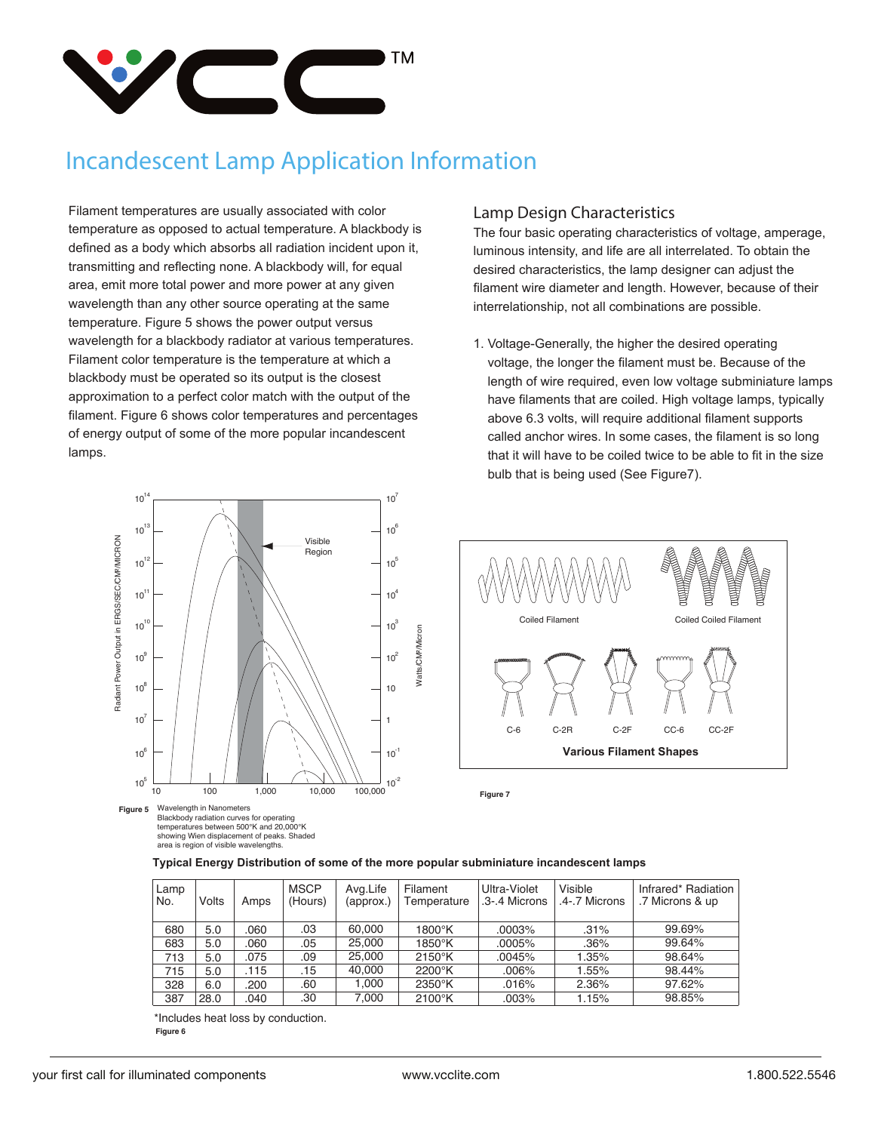

Filament temperatures are usually associated with color temperature as opposed to actual temperature. A blackbody is defined as a body which absorbs all radiation incident upon it, transmitting and reflecting none. A blackbody will, for equal area, emit more total power and more power at any given wavelength than any other source operating at the same temperature. Figure 5 shows the power output versus wavelength for a blackbody radiator at various temperatures. Filament color temperature is the temperature at which a blackbody must be operated so its output is the closest approximation to a perfect color match with the output of the filament. Figure 6 shows color temperatures and percentages of energy output of some of the more popular incandescent lamps.

#### 10 14  $10^7$ 10 13  $10^6$ Radiant Power Output in ERGS/SEC/CM?/MICRON Visible Radiant Power Output in ERGS/SEC/CM²/MICRON Region  $10^{12}$  $10<sup>5</sup>$  $10^{11}$ 10 4  $10^{10}$  $10^3$ Watts/CM<sup>2</sup>/Micron Watts/CM²/Micron  $10<sup>9</sup>$  $10^2$  $10^8$ 10  $10^7$ 1 10 6  $10^{-1}$ 10 5  $10^{-2}$ 10 100 1,000 10,000 100,000

Wavelength in Nanometers Blackbody radiation curves for operating temperatures between 500°K and 20,000°K showing Wien displacement of peaks. Shaded area is region of visible wavelengths. **Figure 5**

#### **Lamp Design Characteristics**

The four basic operating characteristics of voltage, amperage, luminous intensity, and life are all interrelated. To obtain the desired characteristics, the lamp designer can adjust the filament wire diameter and length. However, because of their interrelationship, not all combinations are possible.

1. Voltage-Generally, the higher the desired operating voltage, the longer the filament must be. Because of the length of wire required, even low voltage subminiature lamps have filaments that are coiled. High voltage lamps, typically above 6.3 volts, will require additional filament supports called anchor wires. In some cases, the filament is so long that it will have to be coiled twice to be able to fit in the size bulb that is being used (See Figure7).



**Figure 7**

| Typical Energy Distribution of some of the more popular subminiature incandescent lamps |  |  |  |
|-----------------------------------------------------------------------------------------|--|--|--|
|-----------------------------------------------------------------------------------------|--|--|--|

| Lamp<br>No. | Volts | Amps | <b>MSCP</b><br>(Hours) | Avg.Life<br>(approx.) | Filament<br>Temperature | Ultra-Violet<br>.3-.4 Microns | Visible<br>.4-.7 Microns | Infrared* Radiation<br>.7 Microns & up |
|-------------|-------|------|------------------------|-----------------------|-------------------------|-------------------------------|--------------------------|----------------------------------------|
| 680         | 5.0   | .060 | .03                    | 60.000                | $1800^{\circ}$ K        | $.0003\%$                     | .31%                     | 99.69%                                 |
| 683         | 5.0   | .060 | .05                    | 25.000                | $1850^\circ$ K          | .0005%                        | .36%                     | 99.64%                                 |
| 713         | 5.0   | .075 | .09                    | 25,000                | 2150°K                  | .0045%                        | 1.35%                    | 98.64%                                 |
| 715         | 5.0   | .115 | .15                    | 40,000                | 2200°K                  | .006%                         | 1.55%                    | 98.44%                                 |
| 328         | 6.0   | .200 | .60                    | 1.000                 | 2350°K                  | .016%                         | 2.36%                    | 97.62%                                 |
| 387         | 28.0  | .040 | .30                    | 7.000                 | 2100°K                  | .003%                         | 1.15%                    | 98.85%                                 |

\*Includes heat loss by conduction. **Figure 6**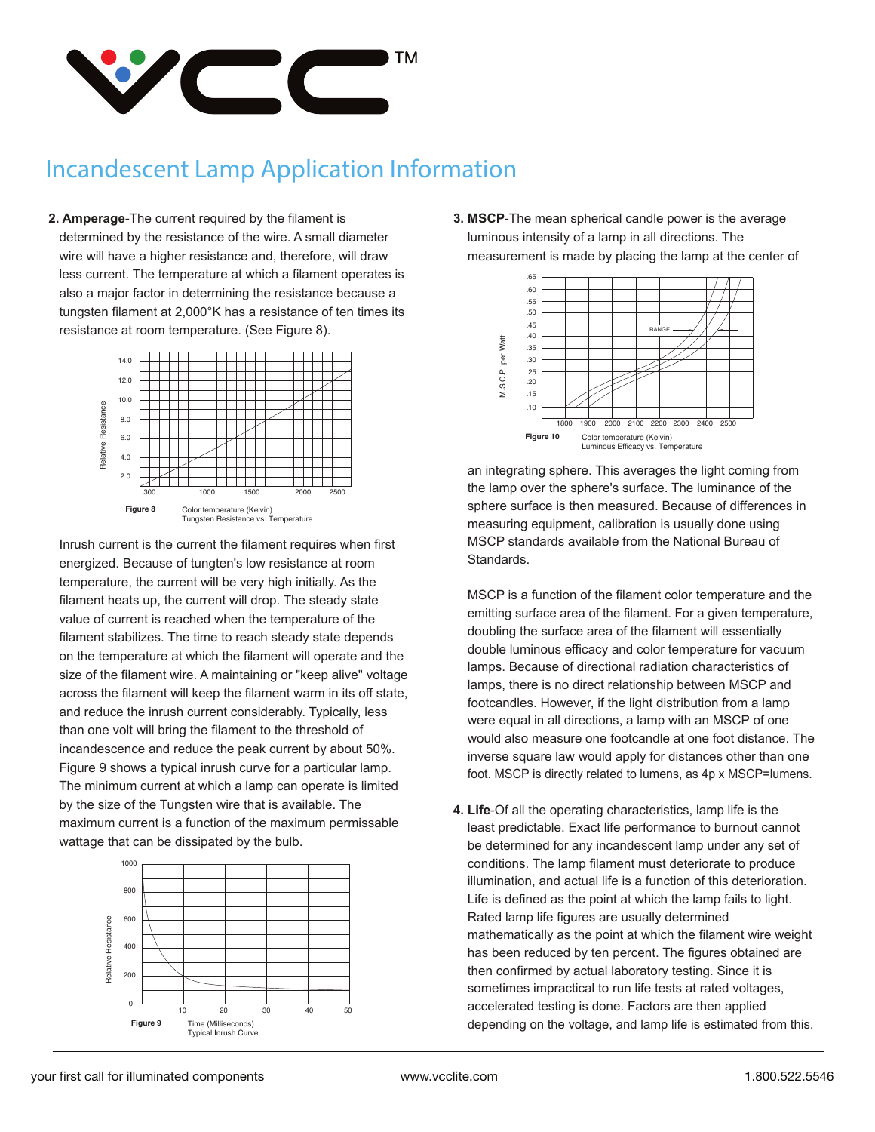

**2. Amperage**-The current required by the filament is determined by the resistance of the wire. A small diameter wire will have a higher resistance and, therefore, will draw less current. The temperature at which a filament operates is also a major factor in determining the resistance because a tungsten filament at 2,000°K has a resistance of ten times its resistance at room temperature. (See Figure 8).



 Inrush current is the current the filament requires when first energized. Because of tungten's low resistance at room temperature, the current will be very high initially. As the filament heats up, the current will drop. The steady state value of current is reached when the temperature of the filament stabilizes. The time to reach steady state depends on the temperature at which the filament will operate and the size of the filament wire. A maintaining or "keep alive" voltage across the filament will keep the filament warm in its off state, and reduce the inrush current considerably. Typically, less than one volt will bring the filament to the threshold of incandescence and reduce the peak current by about 50%. Figure 9 shows a typical inrush curve for a particular lamp. The minimum current at which a lamp can operate is limited by the size of the Tungsten wire that is available. The maximum current is a function of the maximum permissable wattage that can be dissipated by the bulb.



**3. MSCP**-The mean spherical candle power is the average luminous intensity of a lamp in all directions. The measurement is made by placing the lamp at the center of



 an integrating sphere. This averages the light coming from the lamp over the sphere's surface. The luminance of the sphere surface is then measured. Because of differences in measuring equipment, calibration is usually done using MSCP standards available from the National Bureau of Standards.

 MSCP is a function of the filament color temperature and the emitting surface area of the filament. For a given temperature, doubling the surface area of the filament will essentially double luminous efficacy and color temperature for vacuum lamps. Because of directional radiation characteristics of lamps, there is no direct relationship between MSCP and footcandles. However, if the light distribution from a lamp were equal in all directions, a lamp with an MSCP of one would also measure one footcandle at one foot distance. The inverse square law would apply for distances other than one foot. MSCP is directly related to lumens, as 4p x MSCP=lumens.

**4. Life**-Of all the operating characteristics, lamp life is the least predictable. Exact life performance to burnout cannot be determined for any incandescent lamp under any set of conditions. The lamp filament must deteriorate to produce illumination, and actual life is a function of this deterioration. Life is defined as the point at which the lamp fails to light. Rated lamp life figures are usually determined mathematically as the point at which the filament wire weight has been reduced by ten percent. The figures obtained are then confirmed by actual laboratory testing. Since it is sometimes impractical to run life tests at rated voltages, accelerated testing is done. Factors are then applied depending on the voltage, and lamp life is estimated from this.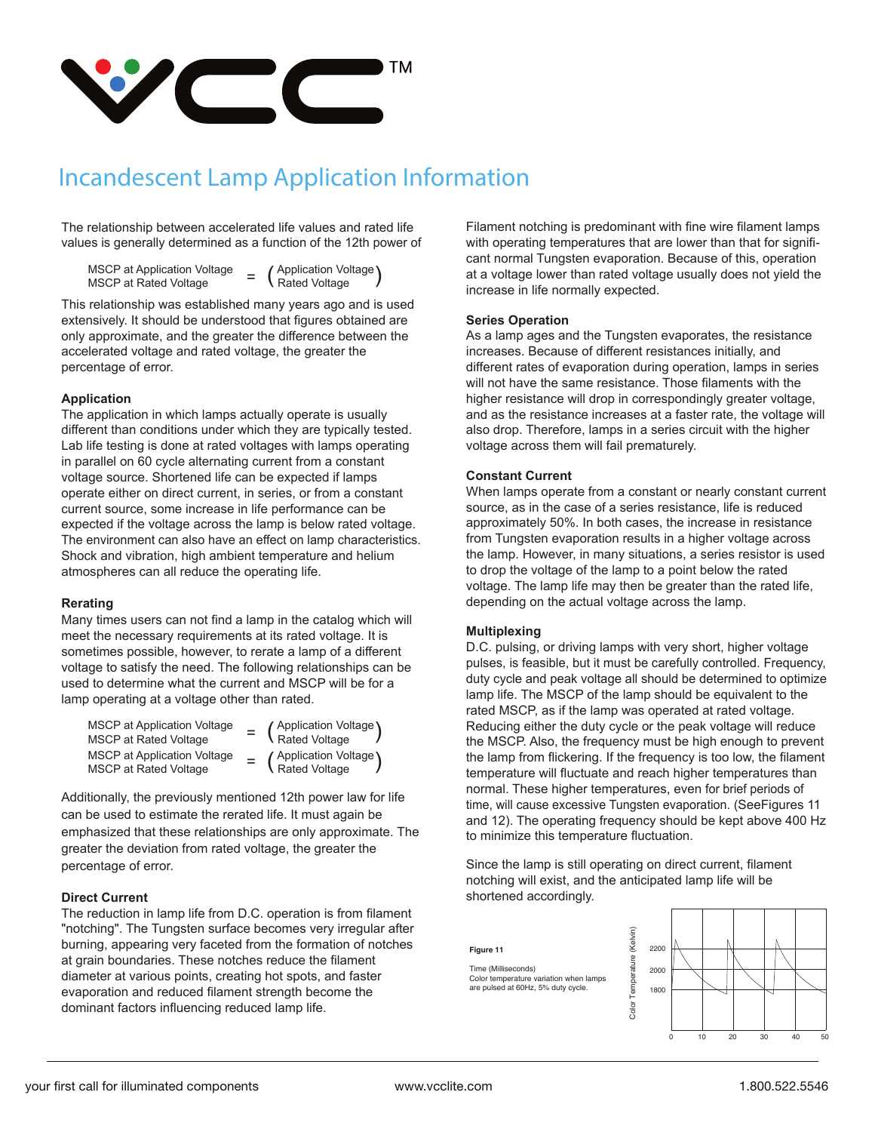

The relationship between accelerated life values and rated life values is generally determined as a function of the 12th power of

MSCP at Application Voltage<br>MSCP at Rated Voltage

(Application Voltage)<br>Rated Voltage

This relationship was established many years ago and is used extensively. It should be understood that figures obtained are only approximate, and the greater the difference between the accelerated voltage and rated voltage, the greater the percentage of error.

#### **Application**

The application in which lamps actually operate is usually different than conditions under which they are typically tested. Lab life testing is done at rated voltages with lamps operating in parallel on 60 cycle alternating current from a constant voltage source. Shortened life can be expected if lamps operate either on direct current, in series, or from a constant current source, some increase in life performance can be expected if the voltage across the lamp is below rated voltage. The environment can also have an effect on lamp characteristics. Shock and vibration, high ambient temperature and helium atmospheres can all reduce the operating life.

#### **Rerating**

Many times users can not find a lamp in the catalog which will meet the necessary requirements at its rated voltage. It is sometimes possible, however, to rerate a lamp of a different voltage to satisfy the need. The following relationships can be used to determine what the current and MSCP will be for a lamp operating at a voltage other than rated.

| <b>MSCP</b> at Application Voltage<br><b>MSCP at Rated Voltage</b> | (Application Voltage)<br>Rated Voltage |
|--------------------------------------------------------------------|----------------------------------------|
| <b>MSCP at Application Voltage</b><br>MSCP at Rated Voltage        | = (Application Voltage)                |

Additionally, the previously mentioned 12th power law for life can be used to estimate the rerated life. It must again be emphasized that these relationships are only approximate. The greater the deviation from rated voltage, the greater the percentage of error.

#### **Direct Current**

The reduction in lamp life from D.C. operation is from filament "notching". The Tungsten surface becomes very irregular after burning, appearing very faceted from the formation of notches at grain boundaries. These notches reduce the filament diameter at various points, creating hot spots, and faster evaporation and reduced filament strength become the dominant factors influencing reduced lamp life.

Filament notching is predominant with fine wire filament lamps with operating temperatures that are lower than that for significant normal Tungsten evaporation. Because of this, operation at a voltage lower than rated voltage usually does not yield the increase in life normally expected.

#### **Series Operation**

As a lamp ages and the Tungsten evaporates, the resistance increases. Because of different resistances initially, and different rates of evaporation during operation, lamps in series will not have the same resistance. Those filaments with the higher resistance will drop in correspondingly greater voltage, and as the resistance increases at a faster rate, the voltage will also drop. Therefore, lamps in a series circuit with the higher voltage across them will fail prematurely.

#### **Constant Current**

When lamps operate from a constant or nearly constant current source, as in the case of a series resistance, life is reduced approximately 50%. In both cases, the increase in resistance from Tungsten evaporation results in a higher voltage across the lamp. However, in many situations, a series resistor is used to drop the voltage of the lamp to a point below the rated voltage. The lamp life may then be greater than the rated life, depending on the actual voltage across the lamp.

#### **Multiplexing**

D.C. pulsing, or driving lamps with very short, higher voltage pulses, is feasible, but it must be carefully controlled. Frequency, duty cycle and peak voltage all should be determined to optimize lamp life. The MSCP of the lamp should be equivalent to the rated MSCP, as if the lamp was operated at rated voltage. Reducing either the duty cycle or the peak voltage will reduce the MSCP. Also, the frequency must be high enough to prevent the lamp from flickering. If the frequency is too low, the filament temperature will fluctuate and reach higher temperatures than normal. These higher temperatures, even for brief periods of time, will cause excessive Tungsten evaporation. (SeeFigures 11 and 12). The operating frequency should be kept above 400 Hz to minimize this temperature fluctuation.

Since the lamp is still operating on direct current, filament notching will exist, and the anticipated lamp life will be shortened accordingly.

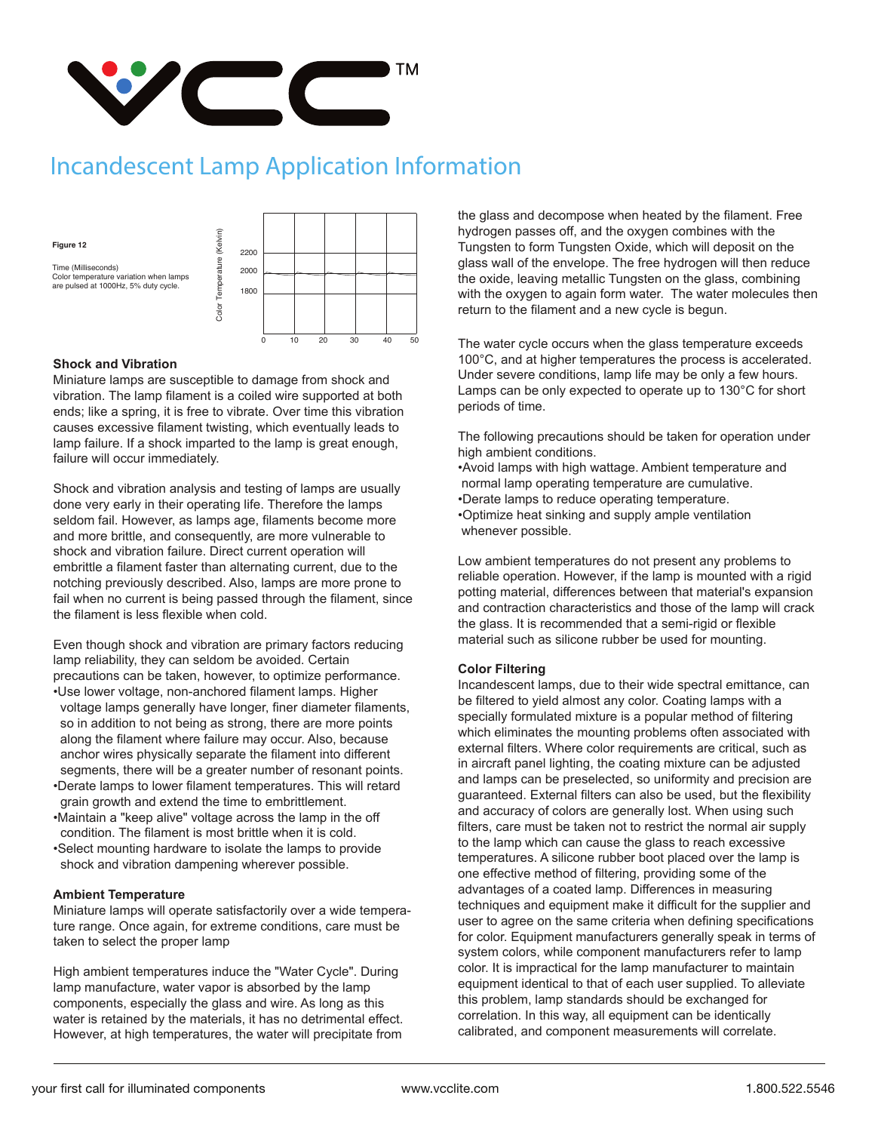

**Figure 12**

Time (Milliseconds) Color temperature variation when lamps Figure 12<br>
Time (Milliseconds)<br>
Color temperature variation when lamps<br>
are pulsed at 1000Hz, 5% duty cycle.<br>  $\frac{1}{2}$ <br>
are pulsed at 1000Hz, 5% duty cycle.<br>  $\frac{1}{2}$ <br>  $\frac{1}{2}$ <br>  $\frac{1}{2}$ 



#### **Shock and Vibration**

Miniature lamps are susceptible to damage from shock and vibration. The lamp filament is a coiled wire supported at both ends; like a spring, it is free to vibrate. Over time this vibration causes excessive filament twisting, which eventually leads to lamp failure. If a shock imparted to the lamp is great enough, failure will occur immediately.

Shock and vibration analysis and testing of lamps are usually done very early in their operating life. Therefore the lamps seldom fail. However, as lamps age, filaments become more and more brittle, and consequently, are more vulnerable to shock and vibration failure. Direct current operation will embrittle a filament faster than alternating current, due to the notching previously described. Also, lamps are more prone to fail when no current is being passed through the filament, since the filament is less flexible when cold.

Even though shock and vibration are primary factors reducing lamp reliability, they can seldom be avoided. Certain precautions can be taken, however, to optimize performance.

- •Use lower voltage, non-anchored filament lamps. Higher voltage lamps generally have longer, finer diameter filaments, so in addition to not being as strong, there are more points along the filament where failure may occur. Also, because anchor wires physically separate the filament into different segments, there will be a greater number of resonant points.
- •Derate lamps to lower filament temperatures. This will retard grain growth and extend the time to embrittlement.
- •Maintain a "keep alive" voltage across the lamp in the off condition. The filament is most brittle when it is cold.
- •Select mounting hardware to isolate the lamps to provide shock and vibration dampening wherever possible.

#### **Ambient Temperature**

Miniature lamps will operate satisfactorily over a wide temperature range. Once again, for extreme conditions, care must be taken to select the proper lamp

High ambient temperatures induce the "Water Cycle". During lamp manufacture, water vapor is absorbed by the lamp components, especially the glass and wire. As long as this water is retained by the materials, it has no detrimental effect. However, at high temperatures, the water will precipitate from

the glass and decompose when heated by the filament. Free hydrogen passes off, and the oxygen combines with the Tungsten to form Tungsten Oxide, which will deposit on the glass wall of the envelope. The free hydrogen will then reduce the oxide, leaving metallic Tungsten on the glass, combining with the oxygen to again form water. The water molecules then return to the filament and a new cycle is begun.

The water cycle occurs when the glass temperature exceeds 100°C, and at higher temperatures the process is accelerated. Under severe conditions, lamp life may be only a few hours. Lamps can be only expected to operate up to 130°C for short periods of time.

The following precautions should be taken for operation under high ambient conditions.

•Avoid lamps with high wattage. Ambient temperature and normal lamp operating temperature are cumulative. •Derate lamps to reduce operating temperature. •Optimize heat sinking and supply ample ventilation whenever possible.

Low ambient temperatures do not present any problems to reliable operation. However, if the lamp is mounted with a rigid potting material, differences between that material's expansion and contraction characteristics and those of the lamp will crack the glass. It is recommended that a semi-rigid or flexible material such as silicone rubber be used for mounting.

#### **Color Filtering**

Incandescent lamps, due to their wide spectral emittance, can be filtered to yield almost any color. Coating lamps with a specially formulated mixture is a popular method of filtering which eliminates the mounting problems often associated with external filters. Where color requirements are critical, such as in aircraft panel lighting, the coating mixture can be adjusted and lamps can be preselected, so uniformity and precision are guaranteed. External filters can also be used, but the flexibility and accuracy of colors are generally lost. When using such filters, care must be taken not to restrict the normal air supply to the lamp which can cause the glass to reach excessive temperatures. A silicone rubber boot placed over the lamp is one effective method of filtering, providing some of the advantages of a coated lamp. Differences in measuring techniques and equipment make it difficult for the supplier and user to agree on the same criteria when defining specifications for color. Equipment manufacturers generally speak in terms of system colors, while component manufacturers refer to lamp color. It is impractical for the lamp manufacturer to maintain equipment identical to that of each user supplied. To alleviate this problem, lamp standards should be exchanged for correlation. In this way, all equipment can be identically calibrated, and component measurements will correlate.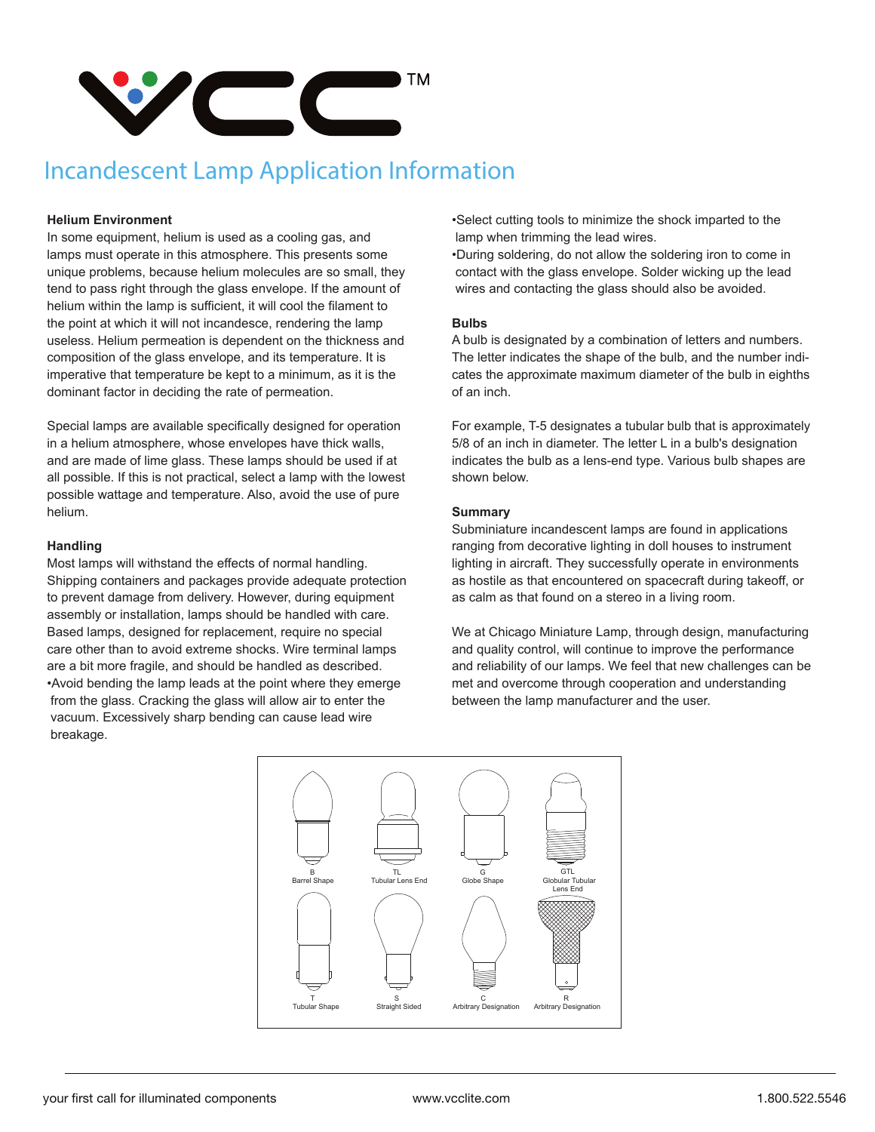

#### **Helium Environment**

In some equipment, helium is used as a cooling gas, and lamps must operate in this atmosphere. This presents some unique problems, because helium molecules are so small, they tend to pass right through the glass envelope. If the amount of helium within the lamp is sufficient, it will cool the filament to the point at which it will not incandesce, rendering the lamp useless. Helium permeation is dependent on the thickness and composition of the glass envelope, and its temperature. It is imperative that temperature be kept to a minimum, as it is the dominant factor in deciding the rate of permeation.

Special lamps are available specifically designed for operation in a helium atmosphere, whose envelopes have thick walls, and are made of lime glass. These lamps should be used if at all possible. If this is not practical, select a lamp with the lowest possible wattage and temperature. Also, avoid the use of pure helium.

#### **Handling**

Most lamps will withstand the effects of normal handling. Shipping containers and packages provide adequate protection to prevent damage from delivery. However, during equipment assembly or installation, lamps should be handled with care. Based lamps, designed for replacement, require no special care other than to avoid extreme shocks. Wire terminal lamps are a bit more fragile, and should be handled as described. •Avoid bending the lamp leads at the point where they emerge from the glass. Cracking the glass will allow air to enter the vacuum. Excessively sharp bending can cause lead wire breakage.

•Select cutting tools to minimize the shock imparted to the lamp when trimming the lead wires.

•During soldering, do not allow the soldering iron to come in contact with the glass envelope. Solder wicking up the lead wires and contacting the glass should also be avoided.

#### **Bulbs**

A bulb is designated by a combination of letters and numbers. The letter indicates the shape of the bulb, and the number indicates the approximate maximum diameter of the bulb in eighths of an inch.

For example, T-5 designates a tubular bulb that is approximately 5/8 of an inch in diameter. The letter L in a bulb's designation indicates the bulb as a lens-end type. Various bulb shapes are shown below.

#### **Summary**

Subminiature incandescent lamps are found in applications ranging from decorative lighting in doll houses to instrument lighting in aircraft. They successfully operate in environments as hostile as that encountered on spacecraft during takeoff, or as calm as that found on a stereo in a living room.

We at Chicago Miniature Lamp, through design, manufacturing and quality control, will continue to improve the performance and reliability of our lamps. We feel that new challenges can be met and overcome through cooperation and understanding between the lamp manufacturer and the user.